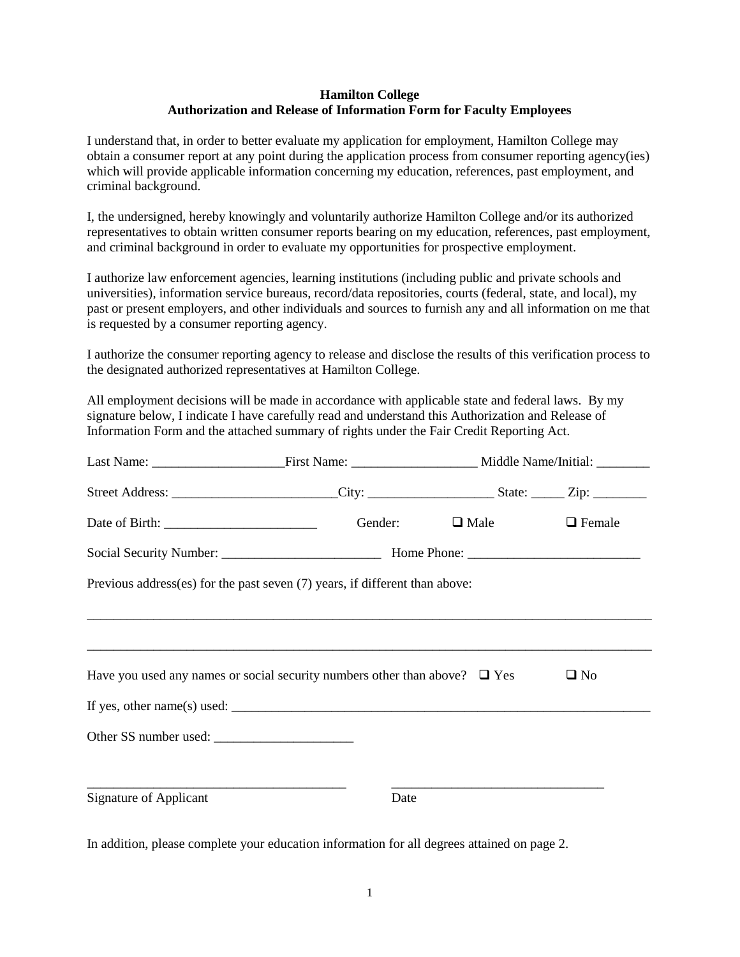## **Hamilton College Authorization and Release of Information Form for Faculty Employees**

I understand that, in order to better evaluate my application for employment, Hamilton College may obtain a consumer report at any point during the application process from consumer reporting agency(ies) which will provide applicable information concerning my education, references, past employment, and criminal background.

I, the undersigned, hereby knowingly and voluntarily authorize Hamilton College and/or its authorized representatives to obtain written consumer reports bearing on my education, references, past employment, and criminal background in order to evaluate my opportunities for prospective employment.

I authorize law enforcement agencies, learning institutions (including public and private schools and universities), information service bureaus, record/data repositories, courts (federal, state, and local), my past or present employers, and other individuals and sources to furnish any and all information on me that is requested by a consumer reporting agency.

I authorize the consumer reporting agency to release and disclose the results of this verification process to the designated authorized representatives at Hamilton College.

All employment decisions will be made in accordance with applicable state and federal laws. By my signature below, I indicate I have carefully read and understand this Authorization and Release of Information Form and the attached summary of rights under the Fair Credit Reporting Act.

|                                                                                                                                                                                                                                                         | Street Address: ____________________________City: ________________________State: _______Zip: ____________                                                                                                                                                                             |             |               |  |
|---------------------------------------------------------------------------------------------------------------------------------------------------------------------------------------------------------------------------------------------------------|---------------------------------------------------------------------------------------------------------------------------------------------------------------------------------------------------------------------------------------------------------------------------------------|-------------|---------------|--|
|                                                                                                                                                                                                                                                         | Gender:                                                                                                                                                                                                                                                                               | $\Box$ Male | $\Box$ Female |  |
|                                                                                                                                                                                                                                                         |                                                                                                                                                                                                                                                                                       |             |               |  |
|                                                                                                                                                                                                                                                         | Previous address(es) for the past seven (7) years, if different than above:                                                                                                                                                                                                           |             |               |  |
|                                                                                                                                                                                                                                                         |                                                                                                                                                                                                                                                                                       |             |               |  |
|                                                                                                                                                                                                                                                         |                                                                                                                                                                                                                                                                                       |             |               |  |
|                                                                                                                                                                                                                                                         | Have you used any names or social security numbers other than above? $\Box$ Yes                                                                                                                                                                                                       |             | $\Box$ No     |  |
|                                                                                                                                                                                                                                                         | If yes, other name(s) used: $\frac{1}{2}$ and $\frac{1}{2}$ and $\frac{1}{2}$ and $\frac{1}{2}$ and $\frac{1}{2}$ and $\frac{1}{2}$ and $\frac{1}{2}$ and $\frac{1}{2}$ and $\frac{1}{2}$ and $\frac{1}{2}$ and $\frac{1}{2}$ and $\frac{1}{2}$ and $\frac{1}{2}$ and $\frac{1}{2}$ a |             |               |  |
|                                                                                                                                                                                                                                                         |                                                                                                                                                                                                                                                                                       |             |               |  |
|                                                                                                                                                                                                                                                         |                                                                                                                                                                                                                                                                                       |             |               |  |
| the control of the control of the control of the control of the control of the control of the control of the control of the control of the control of the control of the control of the control of the control of the control<br>Signature of Applicant | Date                                                                                                                                                                                                                                                                                  |             |               |  |
|                                                                                                                                                                                                                                                         |                                                                                                                                                                                                                                                                                       |             |               |  |

In addition, please complete your education information for all degrees attained on page 2.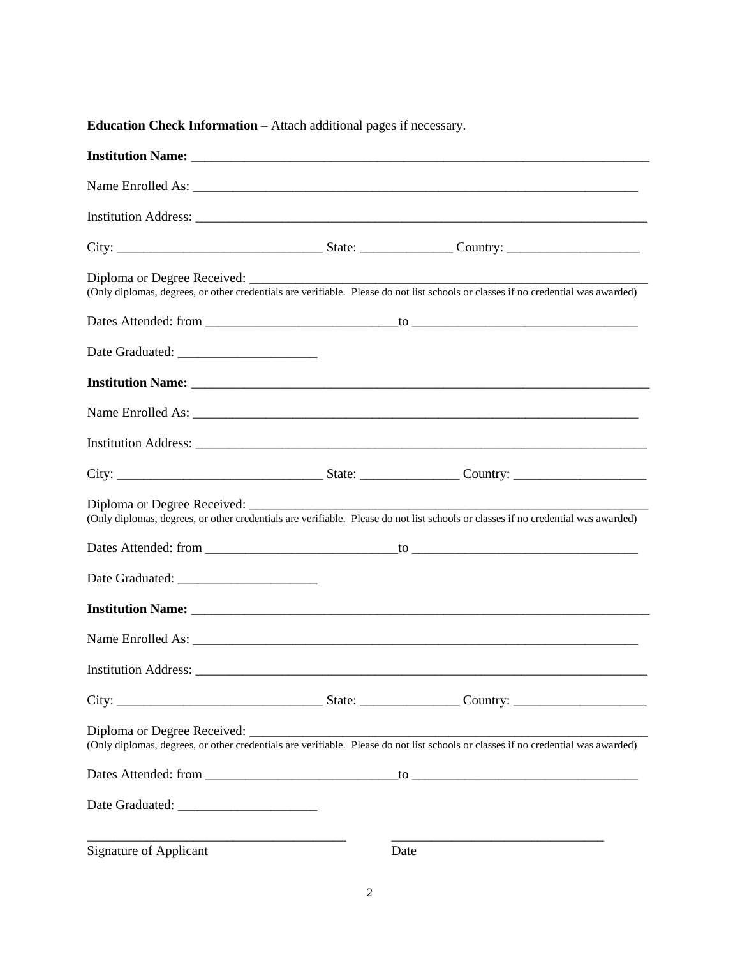| Signature of Applicant | Date |  |
|------------------------|------|--|

**Education Check Information –** Attach additional pages if necessary.